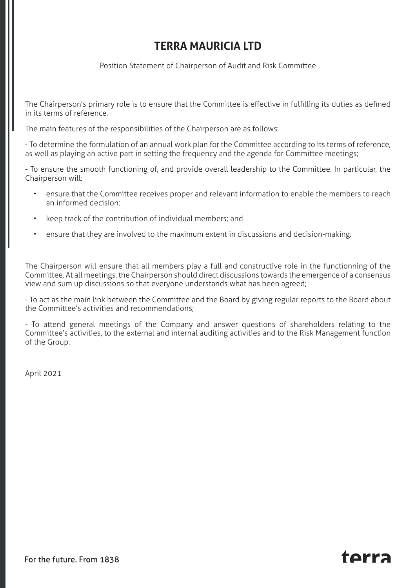Position Statement of Chairperson of Audit and Risk Committee

The Chairperson's primary role is to ensure that the Committee is effective in fulfilling its duties as defined in its terms of reference.

The main features of the responsibilities of the Chairperson are as follows:

- To determine the formulation of an annual work plan for the Committee according to its terms of reference, as well as playing an active part in setting the frequency and the agenda for Committee meetings;

- To ensure the smooth functioning of, and provide overall leadership to the Committee. In particular, the Chairperson will:

- ensure that the Committee receives proper and relevant information to enable the members to reach an informed decision;
- keep track of the contribution of individual members; and
- ensure that they are involved to the maximum extent in discussions and decision-making.

The Chairperson will ensure that all members play a full and constructive role in the functionning of the Committee. At all meetings, the Chairperson should direct discussions towards the emergence of a consensus view and sum up discussions so that everyone understands what has been agreed;

- To act as the main link between the Committee and the Board by giving regular reports to the Board about the Committee's activities and recommendations;

- To attend general meetings of the Company and answer questions of shareholders relating to the Committee's activities, to the external and internal auditing activities and to the Risk Management function of the Group.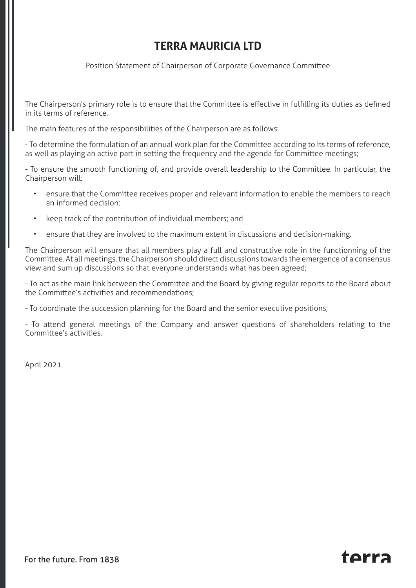Position Statement of Chairperson of Corporate Governance Committee

The Chairperson's primary role is to ensure that the Committee is effective in fulfilling its duties as defined in its terms of reference.

The main features of the responsibilities of the Chairperson are as follows:

- To determine the formulation of an annual work plan for the Committee according to its terms of reference, as well as playing an active part in setting the frequency and the agenda for Committee meetings;

- To ensure the smooth functioning of, and provide overall leadership to the Committee. In particular, the Chairperson will:

- ensure that the Committee receives proper and relevant information to enable the members to reach an informed decision;
- keep track of the contribution of individual members; and
- ensure that they are involved to the maximum extent in discussions and decision-making.

The Chairperson will ensure that all members play a full and constructive role in the functionning of the Committee. At all meetings, the Chairperson should direct discussions towards the emergence of a consensus view and sum up discussions so that everyone understands what has been agreed;

- To act as the main link between the Committee and the Board by giving regular reports to the Board about the Committee's activities and recommendations;

- To coordinate the succession planning for the Board and the senior executive positions;

- To attend general meetings of the Company and answer questions of shareholders relating to the Committee's activities.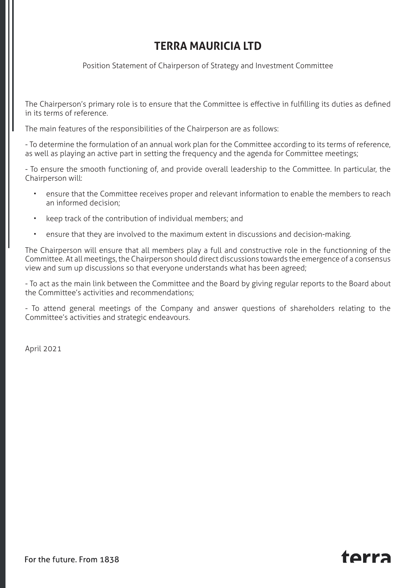Position Statement of Chairperson of Strategy and Investment Committee

The Chairperson's primary role is to ensure that the Committee is effective in fulfilling its duties as defined in its terms of reference.

The main features of the responsibilities of the Chairperson are as follows:

- To determine the formulation of an annual work plan for the Committee according to its terms of reference, as well as playing an active part in setting the frequency and the agenda for Committee meetings;

- To ensure the smooth functioning of, and provide overall leadership to the Committee. In particular, the Chairperson will:

- ensure that the Committee receives proper and relevant information to enable the members to reach an informed decision;
- keep track of the contribution of individual members; and
- ensure that they are involved to the maximum extent in discussions and decision-making.

The Chairperson will ensure that all members play a full and constructive role in the functionning of the Committee. At all meetings, the Chairperson should direct discussions towards the emergence of a consensus view and sum up discussions so that everyone understands what has been agreed;

- To act as the main link between the Committee and the Board by giving regular reports to the Board about the Committee's activities and recommendations;

- To attend general meetings of the Company and answer questions of shareholders relating to the Committee's activities and strategic endeavours.